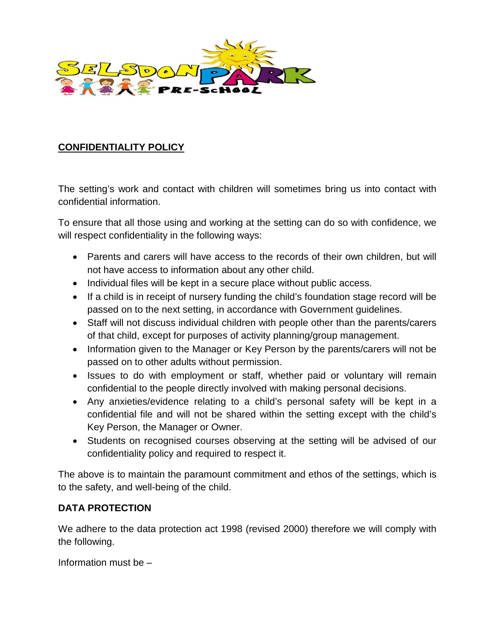

## **CONFIDENTIALITY POLICY**

The setting's work and contact with children will sometimes bring us into contact with confidential information.

To ensure that all those using and working at the setting can do so with confidence, we will respect confidentiality in the following ways:

- Parents and carers will have access to the records of their own children, but will not have access to information about any other child.
- Individual files will be kept in a secure place without public access.
- If a child is in receipt of nursery funding the child's foundation stage record will be passed on to the next setting, in accordance with Government guidelines.
- Staff will not discuss individual children with people other than the parents/carers of that child, except for purposes of activity planning/group management.
- Information given to the Manager or Key Person by the parents/carers will not be passed on to other adults without permission.
- Issues to do with employment or staff, whether paid or voluntary will remain confidential to the people directly involved with making personal decisions.
- Any anxieties/evidence relating to a child's personal safety will be kept in a confidential file and will not be shared within the setting except with the child's Key Person, the Manager or Owner.
- Students on recognised courses observing at the setting will be advised of our confidentiality policy and required to respect it.

The above is to maintain the paramount commitment and ethos of the settings, which is to the safety, and well-being of the child.

## **DATA PROTECTION**

We adhere to the data protection act 1998 (revised 2000) therefore we will comply with the following.

Information must be –